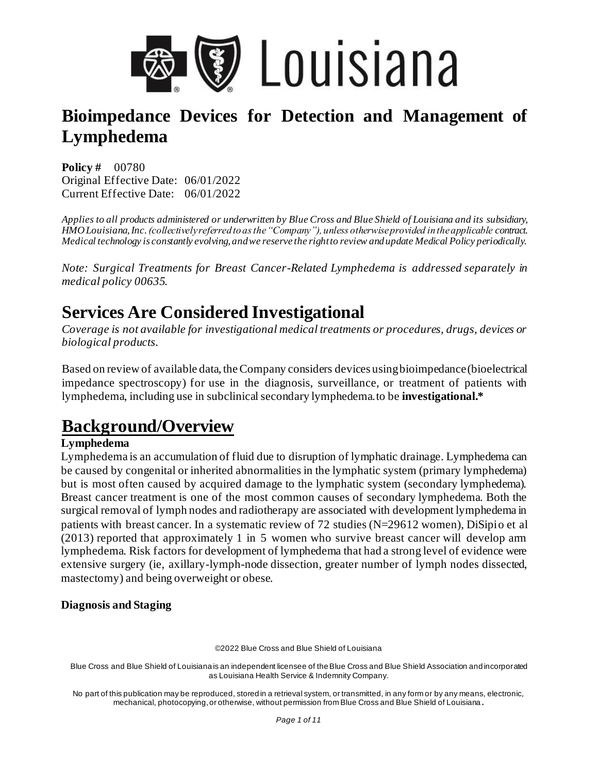

**Policy #** 00780 Original Effective Date: 06/01/2022 Current Effective Date: 06/01/2022

*Applies to all products administered or underwritten by Blue Cross and Blue Shield of Louisiana and its subsidiary, HMO Louisiana, Inc. (collectively referred to as the "Company"), unless otherwise provided in the applicable contract. Medical technology is constantly evolving, and we reserve the right to review and update Medical Policy periodically.* 

*Note: Surgical Treatments for Breast Cancer-Related Lymphedema is addressed separately in medical policy 00635.* 

# **Services Are Considered Investigational**

*Coverage is not available for investigational medical treatments or procedures, drugs, devices or biological products.* 

Based on review of available data, the Company considers devices using bioimpedance (bioelectrical impedance spectroscopy) for use in the diagnosis, surveillance, or treatment of patients with lymphedema, including use in subclinical secondary lymphedema.to be **investigational.\***

# **Background/Overview**

### **Lymphedema**

Lymphedema is an accumulation of fluid due to disruption of lymphatic drainage. Lymphedema can be caused by congenital or inherited abnormalities in the lymphatic system (primary lymphedema) but is most often caused by acquired damage to the lymphatic system (secondary lymphedema). Breast cancer treatment is one of the most common causes of secondary lymphedema. Both the surgical removal of lymph nodes and radiotherapy are associated with development lymphedema in patients with breast cancer. In a systematic review of 72 studies (N=29612 women), DiSipio et al (2013) reported that approximately 1 in 5 women who survive breast cancer will develop arm lymphedema. Risk factors for development of lymphedema that had a strong level of evidence were extensive surgery (ie, axillary-lymph-node dissection, greater number of lymph nodes dissected, mastectomy) and being overweight or obese.

### **Diagnosis and Staging**

©2022 Blue Cross and Blue Shield of Louisiana

Blue Cross and Blue Shield of Louisiana is an independent licensee of the Blue Cross and Blue Shield Association and incorporated as Louisiana Health Service & Indemnity Company.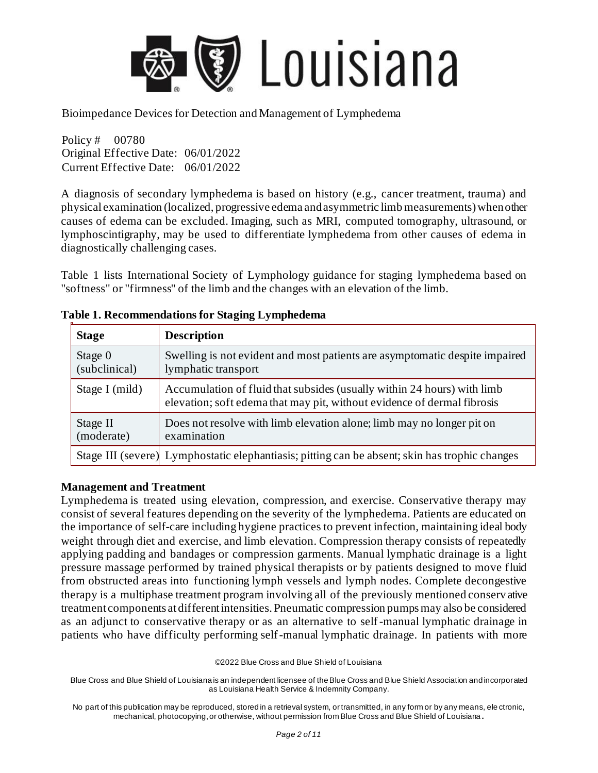

Policy # 00780 Original Effective Date: 06/01/2022 Current Effective Date: 06/01/2022

A diagnosis of secondary lymphedema is based on history (e.g., cancer treatment, trauma) and physical examination (localized, progressive edema and asymmetric limb measurements) when other causes of edema can be excluded. Imaging, such as MRI, computed tomography, ultrasound, or lymphoscintigraphy, may be used to differentiate lymphedema from other causes of edema in diagnostically challenging cases.

Table 1 lists International Society of Lymphology guidance for staging lymphedema based on "softness" or "firmness" of the limb and the changes with an elevation of the limb.

| <b>Stage</b>               | <b>Description</b>                                                                                                                                 |
|----------------------------|----------------------------------------------------------------------------------------------------------------------------------------------------|
| Stage $0$<br>(subclinical) | Swelling is not evident and most patients are asymptomatic despite impaired<br>lymphatic transport                                                 |
| Stage I (mild)             | Accumulation of fluid that subsides (usually within 24 hours) with limb<br>elevation; soft edema that may pit, without evidence of dermal fibrosis |
| Stage II<br>(moderate)     | Does not resolve with limb elevation alone; limb may no longer pit on<br>examination                                                               |
|                            | Stage III (severe) Lymphostatic elephantiasis; pitting can be absent; skin has trophic changes                                                     |

### **Table 1. Recommendations for Staging Lymphedema**

#### **Management and Treatment**

Lymphedema is treated using elevation, compression, and exercise. Conservative therapy may consist of several features depending on the severity of the lymphedema. Patients are educated on the importance of self-care including hygiene practices to prevent infection, maintaining ideal body weight through diet and exercise, and limb elevation. Compression therapy consists of repeatedly applying padding and bandages or compression garments. Manual lymphatic drainage is a light pressure massage performed by trained physical therapists or by patients designed to move fluid from obstructed areas into functioning lymph vessels and lymph nodes. Complete decongestive therapy is a multiphase treatment program involving all of the previously mentioned conserv ative treatment components at different intensities. Pneumatic compression pumps may also be considered as an adjunct to conservative therapy or as an alternative to self -manual lymphatic drainage in patients who have difficulty performing self-manual lymphatic drainage. In patients with more

©2022 Blue Cross and Blue Shield of Louisiana

Blue Cross and Blue Shield of Louisiana is an independent licensee of the Blue Cross and Blue Shield Association and incorporated as Louisiana Health Service & Indemnity Company.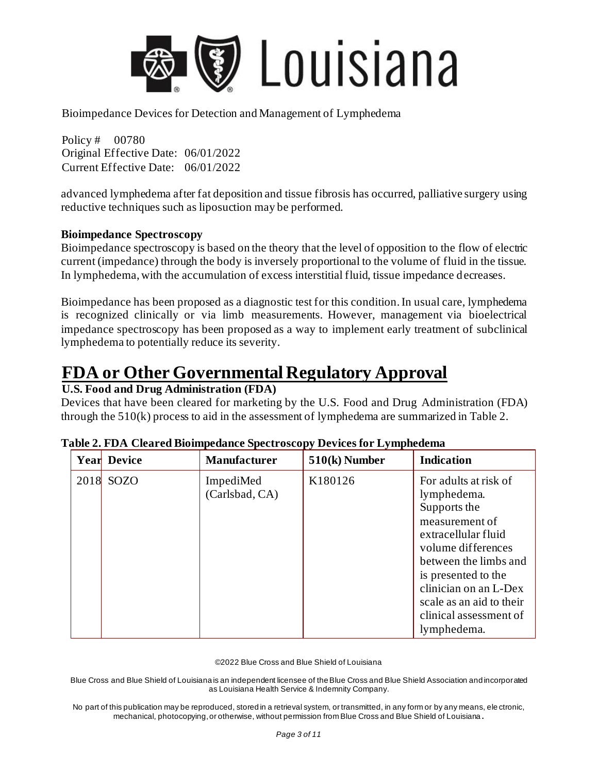

Policy # 00780 Original Effective Date: 06/01/2022 Current Effective Date: 06/01/2022

advanced lymphedema after fat deposition and tissue fibrosis has occurred, palliative surgery using reductive techniques such as liposuction may be performed.

#### **Bioimpedance Spectroscopy**

Bioimpedance spectroscopy is based on the theory that the level of opposition to the flow of electric current (impedance) through the body is inversely proportional to the volume of fluid in the tissue. In lymphedema, with the accumulation of excess interstitial fluid, tissue impedance decreases.

Bioimpedance has been proposed as a diagnostic test for this condition. In usual care, lymphedema is recognized clinically or via limb measurements. However, management via bioelectrical impedance spectroscopy has been proposed as a way to implement early treatment of subclinical lymphedema to potentially reduce its severity.

## **FDA or Other Governmental Regulatory Approval**

### **U.S. Food and Drug Administration (FDA)**

Devices that have been cleared for marketing by the U.S. Food and Drug Administration (FDA) through the 510(k) process to aid in the assessment of lymphedema are summarized in Table 2.

|      | <b>Year Device</b> | <b>Manufacturer</b>         | $510(k)$ Number | <b>Indication</b>                                                                                                                                                                                                                                                 |
|------|--------------------|-----------------------------|-----------------|-------------------------------------------------------------------------------------------------------------------------------------------------------------------------------------------------------------------------------------------------------------------|
| 2018 | <b>SOZO</b>        | ImpediMed<br>(Carlsbad, CA) | K180126         | For adults at risk of<br>lymphedema.<br>Supports the<br>measurement of<br>extracellular fluid<br>volume differences<br>between the limbs and<br>is presented to the<br>clinician on an L-Dex<br>scale as an aid to their<br>clinical assessment of<br>lymphedema. |

| Table 2. FDA Cleared Bioimpedance Spectroscopy Devices for Lymphedema |  |  |
|-----------------------------------------------------------------------|--|--|
|                                                                       |  |  |

©2022 Blue Cross and Blue Shield of Louisiana

Blue Cross and Blue Shield of Louisiana is an independent licensee of the Blue Cross and Blue Shield Association and incorporated as Louisiana Health Service & Indemnity Company.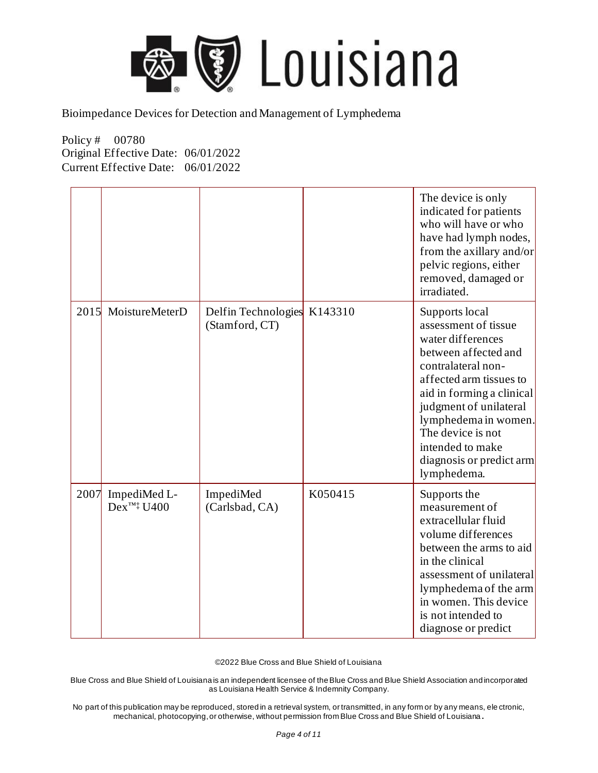

Policy # 00780 Original Effective Date: 06/01/2022 Current Effective Date: 06/01/2022

|      |                                         |                                       |         | The device is only<br>indicated for patients<br>who will have or who<br>have had lymph nodes,<br>from the axillary and/or<br>pelvic regions, either<br>removed, damaged or<br>irradiated.                                                                                                               |
|------|-----------------------------------------|---------------------------------------|---------|---------------------------------------------------------------------------------------------------------------------------------------------------------------------------------------------------------------------------------------------------------------------------------------------------------|
| 2015 | MoistureMeterD                          | Delfin Technologies<br>(Stamford, CT) | K143310 | Supports local<br>assessment of tissue<br>water differences<br>between affected and<br>contralateral non-<br>affected arm tissues to<br>aid in forming a clinical<br>judgment of unilateral<br>lymphedema in women.<br>The device is not<br>intended to make<br>diagnosis or predict arm<br>lymphedema. |
| 2007 | ImpediMed L-<br>$Dex^{\text{TM}^+}U400$ | ImpediMed<br>(Carlsbad, CA)           | K050415 | Supports the<br>measurement of<br>extracellular fluid<br>volume differences<br>between the arms to aid<br>in the clinical<br>assessment of unilateral<br>lymphedema of the arm<br>in women. This device<br>is not intended to<br>diagnose or predict                                                    |

©2022 Blue Cross and Blue Shield of Louisiana

Blue Cross and Blue Shield of Louisiana is an independent licensee of the Blue Cross and Blue Shield Association and incorporated as Louisiana Health Service & Indemnity Company.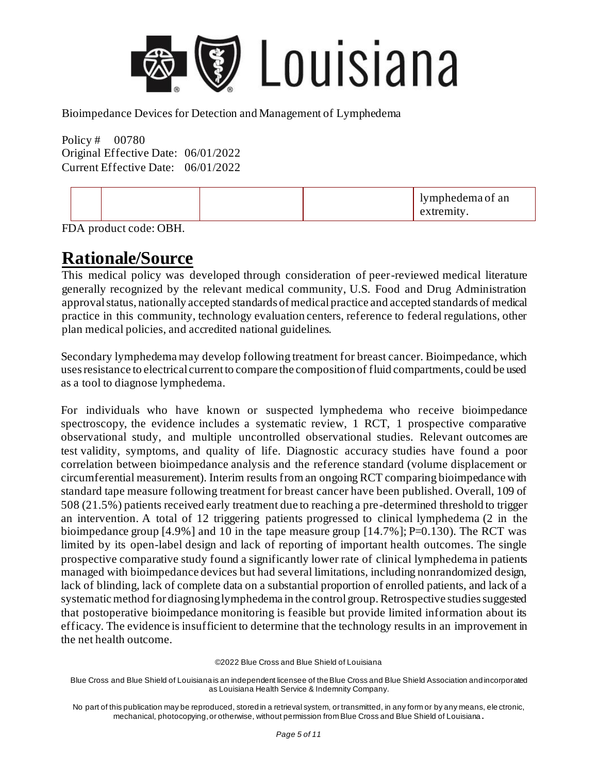

Policy # 00780 Original Effective Date: 06/01/2022 Current Effective Date: 06/01/2022

|--|

FDA product code: OBH.

### **Rationale/Source**

This medical policy was developed through consideration of peer-reviewed medical literature generally recognized by the relevant medical community, U.S. Food and Drug Administration approval status, nationally accepted standards of medical practice and accepted standards of medical practice in this community, technology evaluation centers, reference to federal regulations, other plan medical policies, and accredited national guidelines.

Secondary lymphedema may develop following treatment for breast cancer. Bioimpedance, which uses resistance to electrical current to compare the composition of fluid compartments, could be used as a tool to diagnose lymphedema.

For individuals who have known or suspected lymphedema who receive bioimpedance spectroscopy, the evidence includes a systematic review, 1 RCT, 1 prospective comparative observational study, and multiple uncontrolled observational studies. Relevant outcomes are test validity, symptoms, and quality of life. Diagnostic accuracy studies have found a poor correlation between bioimpedance analysis and the reference standard (volume displacement or circumferential measurement). Interim results from an ongoing RCT comparing bioimpedance with standard tape measure following treatment for breast cancer have been published. Overall, 109 of 508 (21.5%) patients received early treatment due to reaching a pre-determined threshold to trigger an intervention. A total of 12 triggering patients progressed to clinical lymphedema (2 in the bioimpedance group  $[4.9\%]$  and 10 in the tape measure group  $[14.7\%]$ ; P=0.130). The RCT was limited by its open-label design and lack of reporting of important health outcomes. The single prospective comparative study found a significantly lower rate of clinical lymphedema in patients managed with bioimpedance devices but had several limitations, including nonrandomized design, lack of blinding, lack of complete data on a substantial proportion of enrolled patients, and lack of a systematic method for diagnosing lymphedema in the control group. Retrospective studies suggested that postoperative bioimpedance monitoring is feasible but provide limited information about its efficacy. The evidence is insufficient to determine that the technology results in an improvement in the net health outcome.

©2022 Blue Cross and Blue Shield of Louisiana

Blue Cross and Blue Shield of Louisiana is an independent licensee of the Blue Cross and Blue Shield Association and incorporated as Louisiana Health Service & Indemnity Company.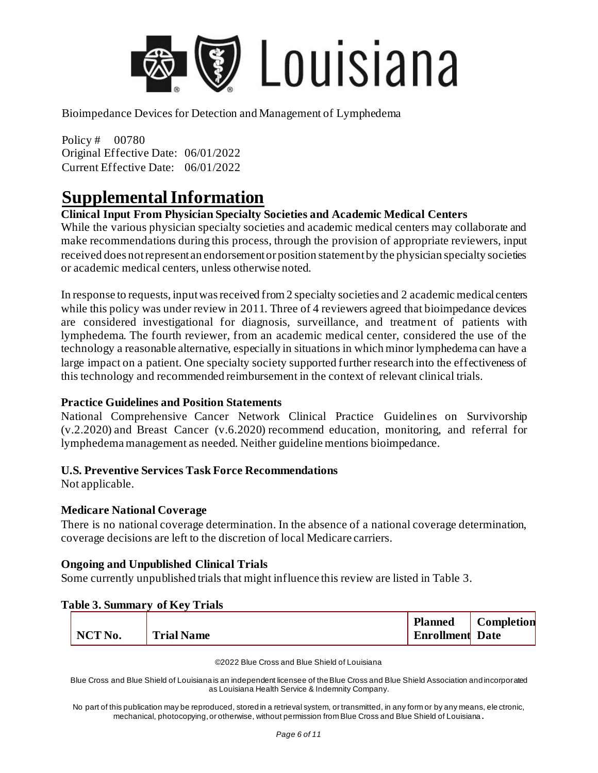

Policy # 00780 Original Effective Date: 06/01/2022 Current Effective Date: 06/01/2022

## **Supplemental Information**

### **Clinical Input From Physician Specialty Societies and Academic Medical Centers**

While the various physician specialty societies and academic medical centers may collaborate and make recommendations during this process, through the provision of appropriate reviewers, input received does not represent an endorsement or position statement by the physician specialty societies or academic medical centers, unless otherwise noted.

In response to requests, input was received from 2 specialty societies and 2 academic medical centers while this policy was under review in 2011. Three of 4 reviewers agreed that bioimpedance devices are considered investigational for diagnosis, surveillance, and treatment of patients with lymphedema. The fourth reviewer, from an academic medical center, considered the use of the technology a reasonable alternative, especially in situations in which minor lymphedema can have a large impact on a patient. One specialty society supported further research into the effectiveness of this technology and recommended reimbursement in the context of relevant clinical trials.

#### **Practice Guidelines and Position Statements**

National Comprehensive Cancer Network Clinical Practice Guidelines on Survivorship (v.2.2020) and Breast Cancer (v.6.2020) recommend education, monitoring, and referral for lymphedema management as needed. Neither guideline mentions bioimpedance.

#### **U.S. Preventive Services Task Force Recommendations**

Not applicable.

#### **Medicare National Coverage**

There is no national coverage determination. In the absence of a national coverage determination, coverage decisions are left to the discretion of local Medicare carriers.

#### **Ongoing and Unpublished Clinical Trials**

Some currently unpublished trials that might influence this review are listed in Table 3.

|                    | Ladie 9. Summary of Nev Trials |                                          |                   |
|--------------------|--------------------------------|------------------------------------------|-------------------|
| NCT <sub>No.</sub> | <b>Trial Name</b>              | <b>Planned</b><br><b>Enrollment</b> Date | <b>Completion</b> |
|                    |                                |                                          |                   |

#### **Table 3. Summary of Key Trials**

©2022 Blue Cross and Blue Shield of Louisiana

Blue Cross and Blue Shield of Louisiana is an independent licensee of the Blue Cross and Blue Shield Association and incorporated as Louisiana Health Service & Indemnity Company.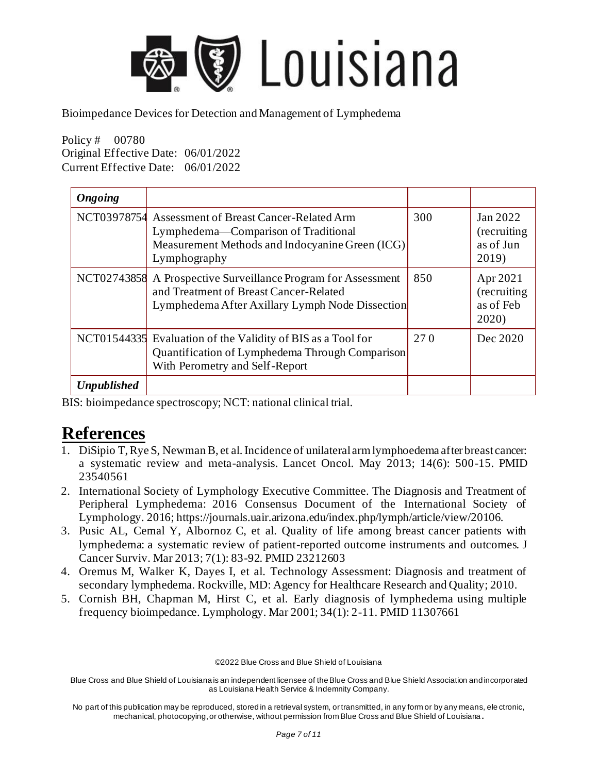

Policy # 00780 Original Effective Date: 06/01/2022 Current Effective Date: 06/01/2022

| <b>Ongoing</b>     |                                                                                                                                                                |     |                                                |
|--------------------|----------------------------------------------------------------------------------------------------------------------------------------------------------------|-----|------------------------------------------------|
|                    | NCT03978754 Assessment of Breast Cancer-Related Arm<br>Lymphedema—Comparison of Traditional<br>Measurement Methods and Indocyanine Green (ICG)<br>Lymphography | 300 | Jan 2022<br>(recruiting)<br>as of Jun<br>2019) |
|                    | NCT02743858 A Prospective Surveillance Program for Assessment<br>and Treatment of Breast Cancer-Related<br>Lymphedema After Axillary Lymph Node Dissection     | 850 | Apr 2021<br>(recruiting)<br>as of Feb<br>2020) |
|                    | NCT01544335 Evaluation of the Validity of BIS as a Tool for<br>Quantification of Lymphedema Through Comparison<br>With Perometry and Self-Report               | 270 | Dec 2020                                       |
| <b>Unpublished</b> |                                                                                                                                                                |     |                                                |

BIS: bioimpedance spectroscopy; NCT: national clinical trial.

### **References**

- 1. DiSipio T, Rye S, Newman B, et al. Incidence of unilateral arm lymphoedema after breast cancer: a systematic review and meta-analysis. Lancet Oncol. May 2013; 14(6): 500-15. PMID 23540561
- 2. International Society of Lymphology Executive Committee. The Diagnosis and Treatment of Peripheral Lymphedema: 2016 Consensus Document of the International Society of Lymphology. 2016; https://journals.uair.arizona.edu/index.php/lymph/article/view/20106.
- 3. Pusic AL, Cemal Y, Albornoz C, et al. Quality of life among breast cancer patients with lymphedema: a systematic review of patient-reported outcome instruments and outcomes. J Cancer Surviv. Mar 2013; 7(1): 83-92. PMID 23212603
- 4. Oremus M, Walker K, Dayes I, et al. Technology Assessment: Diagnosis and treatment of secondary lymphedema. Rockville, MD: Agency for Healthcare Research and Quality; 2010.
- 5. Cornish BH, Chapman M, Hirst C, et al. Early diagnosis of lymphedema using multiple frequency bioimpedance. Lymphology. Mar 2001; 34(1): 2-11. PMID 11307661

©2022 Blue Cross and Blue Shield of Louisiana

Blue Cross and Blue Shield of Louisiana is an independent licensee of the Blue Cross and Blue Shield Association and incorporated as Louisiana Health Service & Indemnity Company.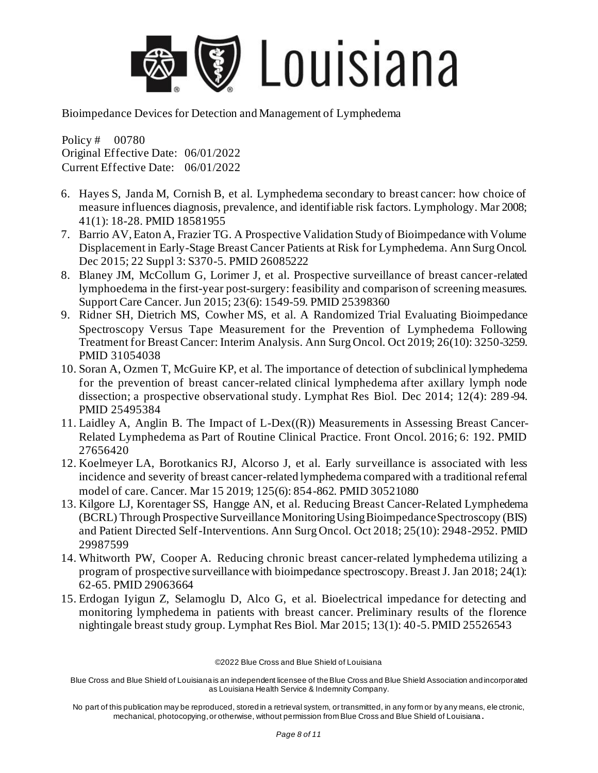

Policy # 00780 Original Effective Date: 06/01/2022 Current Effective Date: 06/01/2022

- 6. Hayes S, Janda M, Cornish B, et al. Lymphedema secondary to breast cancer: how choice of measure influences diagnosis, prevalence, and identifiable risk factors. Lymphology. Mar 2008; 41(1): 18-28. PMID 18581955
- 7. Barrio AV, Eaton A, Frazier TG. A Prospective Validation Study of Bioimpedance with Volume Displacement in Early-Stage Breast Cancer Patients at Risk for Lymphedema. Ann Surg Oncol. Dec 2015; 22 Suppl 3: S370-5. PMID 26085222
- 8. Blaney JM, McCollum G, Lorimer J, et al. Prospective surveillance of breast cancer-related lymphoedema in the first-year post-surgery: feasibility and comparison of screening measures. Support Care Cancer. Jun 2015; 23(6): 1549-59. PMID 25398360
- 9. Ridner SH, Dietrich MS, Cowher MS, et al. A Randomized Trial Evaluating Bioimpedance Spectroscopy Versus Tape Measurement for the Prevention of Lymphedema Following Treatment for Breast Cancer: Interim Analysis. Ann Surg Oncol. Oct 2019; 26(10): 3250-3259. PMID 31054038
- 10. Soran A, Ozmen T, McGuire KP, et al. The importance of detection of subclinical lymphedema for the prevention of breast cancer-related clinical lymphedema after axillary lymph node dissection; a prospective observational study. Lymphat Res Biol. Dec 2014; 12(4): 289 -94. PMID 25495384
- 11. Laidley A, Anglin B. The Impact of L-Dex((R)) Measurements in Assessing Breast Cancer-Related Lymphedema as Part of Routine Clinical Practice. Front Oncol. 2016; 6: 192. PMID 27656420
- 12. Koelmeyer LA, Borotkanics RJ, Alcorso J, et al. Early surveillance is associated with less incidence and severity of breast cancer-related lymphedema compared with a traditional referral model of care. Cancer. Mar 15 2019; 125(6): 854-862. PMID 30521080
- 13. Kilgore LJ, Korentager SS, Hangge AN, et al. Reducing Breast Cancer-Related Lymphedema (BCRL) Through Prospective Surveillance Monitoring Using Bioimpedance Spectroscopy (BIS) and Patient Directed Self-Interventions. Ann Surg Oncol. Oct 2018; 25(10): 2948-2952. PMID 29987599
- 14. Whitworth PW, Cooper A. Reducing chronic breast cancer-related lymphedema utilizing a program of prospective surveillance with bioimpedance spectroscopy. Breast J. Jan 2018; 24(1): 62-65. PMID 29063664
- 15. Erdogan Iyigun Z, Selamoglu D, Alco G, et al. Bioelectrical impedance for detecting and monitoring lymphedema in patients with breast cancer. Preliminary results of the florence nightingale breast study group. Lymphat Res Biol. Mar 2015; 13(1): 40-5. PMID 25526543

©2022 Blue Cross and Blue Shield of Louisiana

Blue Cross and Blue Shield of Louisiana is an independent licensee of the Blue Cross and Blue Shield Association and incorporated as Louisiana Health Service & Indemnity Company.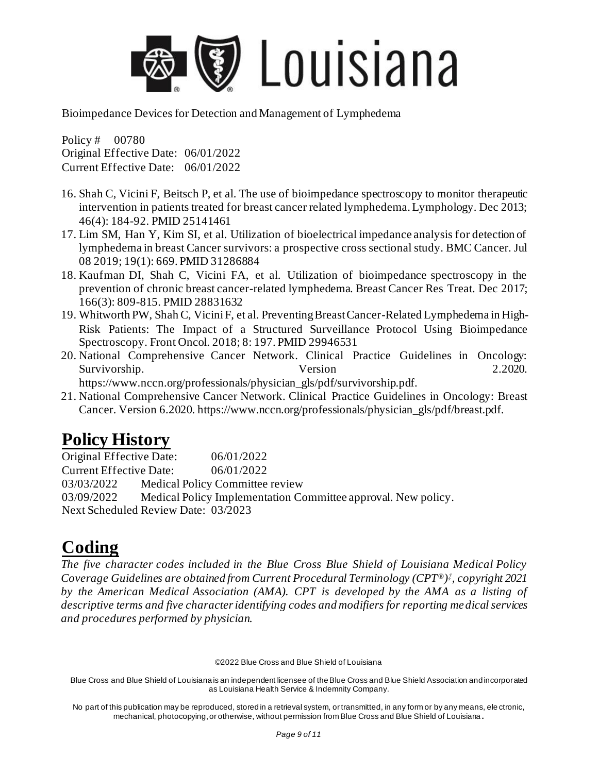

Policy # 00780 Original Effective Date: 06/01/2022 Current Effective Date: 06/01/2022

- 16. Shah C, Vicini F, Beitsch P, et al. The use of bioimpedance spectroscopy to monitor therapeutic intervention in patients treated for breast cancer related lymphedema. Lymphology. Dec 2013; 46(4): 184-92. PMID 25141461
- 17. Lim SM, Han Y, Kim SI, et al. Utilization of bioelectrical impedance analysis for detection of lymphedema in breast Cancer survivors: a prospective cross sectional study. BMC Cancer. Jul 08 2019; 19(1): 669. PMID 31286884
- 18. Kaufman DI, Shah C, Vicini FA, et al. Utilization of bioimpedance spectroscopy in the prevention of chronic breast cancer-related lymphedema. Breast Cancer Res Treat. Dec 2017; 166(3): 809-815. PMID 28831632
- 19. Whitworth PW, Shah C, Vicini F, et al. Preventing Breast Cancer-Related Lymphedema in High-Risk Patients: The Impact of a Structured Surveillance Protocol Using Bioimpedance Spectroscopy. Front Oncol. 2018; 8: 197. PMID 29946531
- 20. National Comprehensive Cancer Network. Clinical Practice Guidelines in Oncology: Survivorship. 2.2020.

https://www.nccn.org/professionals/physician\_gls/pdf/survivorship.pdf.

21. National Comprehensive Cancer Network. Clinical Practice Guidelines in Oncology: Breast Cancer. Version 6.2020. https://www.nccn.org/professionals/physician\_gls/pdf/breast.pdf.

# **Policy History**

Original Effective Date: 06/01/2022 Current Effective Date: 06/01/2022 03/03/2022 Medical Policy Committee review 03/09/2022 Medical Policy Implementation Committee approval. New policy. Next Scheduled Review Date: 03/2023

# **Coding**

*The five character codes included in the Blue Cross Blue Shield of Louisiana Medical Policy Coverage Guidelines are obtained from Current Procedural Terminology (CPT®) ‡ , copyright 2021 by the American Medical Association (AMA). CPT is developed by the AMA as a listing of descriptive terms and five character identifying codes and modifiers for reporting medical services and procedures performed by physician.*

©2022 Blue Cross and Blue Shield of Louisiana

Blue Cross and Blue Shield of Louisiana is an independent licensee of the Blue Cross and Blue Shield Association and incorporated as Louisiana Health Service & Indemnity Company.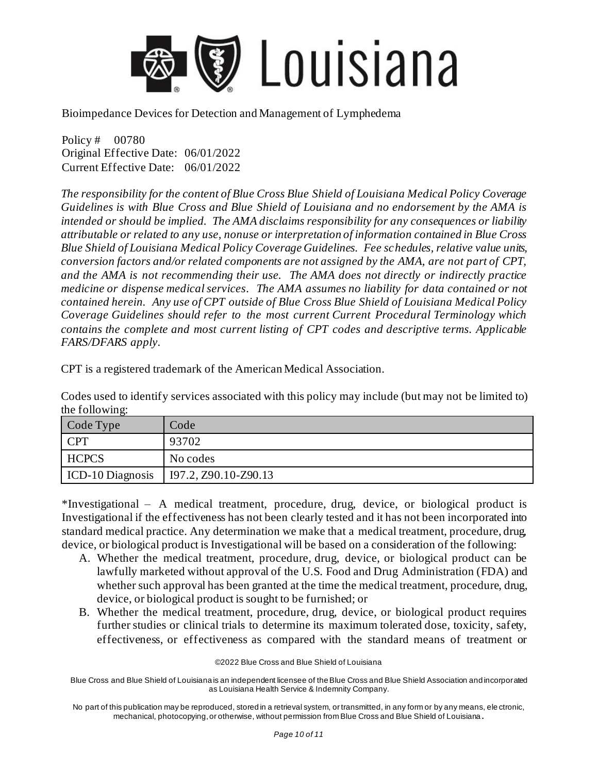

Policy # 00780 Original Effective Date: 06/01/2022 Current Effective Date: 06/01/2022

*The responsibility for the content of Blue Cross Blue Shield of Louisiana Medical Policy Coverage Guidelines is with Blue Cross and Blue Shield of Louisiana and no endorsement by the AMA is intended or should be implied. The AMA disclaims responsibility for any consequences or liability attributable or related to any use, nonuse or interpretation of information contained in Blue Cross Blue Shield of Louisiana Medical Policy Coverage Guidelines. Fee schedules, relative value units, conversion factors and/or related components are not assigned by the AMA, are not part of CPT, and the AMA is not recommending their use. The AMA does not directly or indirectly practice medicine or dispense medical services. The AMA assumes no liability for data contained or not contained herein. Any use of CPT outside of Blue Cross Blue Shield of Louisiana Medical Policy Coverage Guidelines should refer to the most current Current Procedural Terminology which contains the complete and most current listing of CPT codes and descriptive terms. Applicable FARS/DFARS apply.*

CPT is a registered trademark of the American Medical Association.

Codes used to identify services associated with this policy may include (but may not be limited to) the following:

| Code Type               | Code                 |
|-------------------------|----------------------|
| <b>CPT</b>              | 93702                |
| <b>HCPCS</b>            | No codes             |
| <b>ICD-10 Diagnosis</b> | I97.2, Z90.10-Z90.13 |

\*Investigational – A medical treatment, procedure, drug, device, or biological product is Investigational if the effectiveness has not been clearly tested and it has not been incorporated into standard medical practice. Any determination we make that a medical treatment, procedure, drug, device, or biological product is Investigational will be based on a consideration of the following:

- A. Whether the medical treatment, procedure, drug, device, or biological product can be lawfully marketed without approval of the U.S. Food and Drug Administration (FDA) and whether such approval has been granted at the time the medical treatment, procedure, drug, device, or biological product is sought to be furnished; or
- B. Whether the medical treatment, procedure, drug, device, or biological product requires further studies or clinical trials to determine its maximum tolerated dose, toxicity, safety, effectiveness, or effectiveness as compared with the standard means of treatment or

©2022 Blue Cross and Blue Shield of Louisiana

Blue Cross and Blue Shield of Louisiana is an independent licensee of the Blue Cross and Blue Shield Association and incorporated as Louisiana Health Service & Indemnity Company.

No part of this publication may be reproduced, stored in a retrieval system, or transmitted, in any form or by any means, ele ctronic, mechanical, photocopying, or otherwise, without permission from Blue Cross and Blue Shield of Louisiana **.**